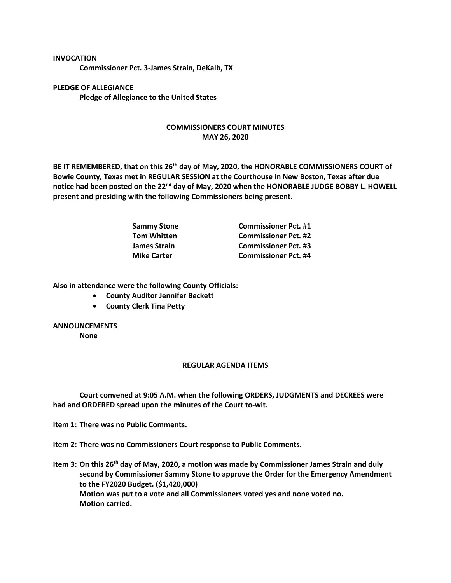## **INVOCATION**

**Commissioner Pct. 3-James Strain, DeKalb, TX**

**PLEDGE OF ALLEGIANCE Pledge of Allegiance to the United States**

## **COMMISSIONERS COURT MINUTES MAY 26, 2020**

**BE IT REMEMBERED, that on this 26th day of May, 2020, the HONORABLE COMMISSIONERS COURT of Bowie County, Texas met in REGULAR SESSION at the Courthouse in New Boston, Texas after due notice had been posted on the 22nd day of May, 2020 when the HONORABLE JUDGE BOBBY L. HOWELL present and presiding with the following Commissioners being present.**

| <b>Sammy Stone</b> | <b>Commissioner Pct. #1</b> |
|--------------------|-----------------------------|
| <b>Tom Whitten</b> | <b>Commissioner Pct. #2</b> |
| James Strain       | <b>Commissioner Pct. #3</b> |
| <b>Mike Carter</b> | <b>Commissioner Pct. #4</b> |

**Also in attendance were the following County Officials:**

- **County Auditor Jennifer Beckett**
- **County Clerk Tina Petty**

## **ANNOUNCEMENTS**

**None**

## **REGULAR AGENDA ITEMS**

**Court convened at 9:05 A.M. when the following ORDERS, JUDGMENTS and DECREES were had and ORDERED spread upon the minutes of the Court to-wit.**

**Item 1: There was no Public Comments.**

**Item 2: There was no Commissioners Court response to Public Comments.**

**Item 3: On this 26th day of May, 2020, a motion was made by Commissioner James Strain and duly second by Commissioner Sammy Stone to approve the Order for the Emergency Amendment to the FY2020 Budget. (\$1,420,000) Motion was put to a vote and all Commissioners voted yes and none voted no. Motion carried.**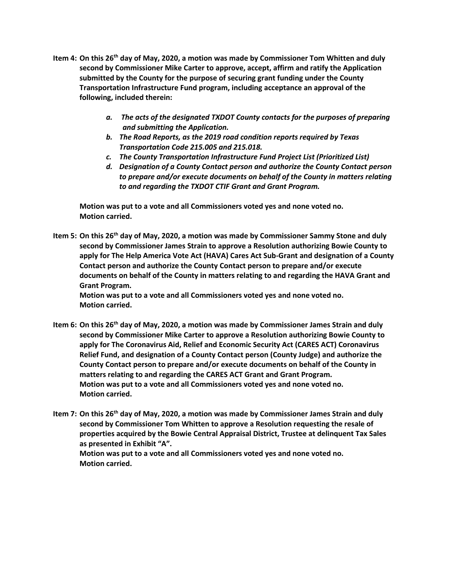- **Item 4: On this 26th day of May, 2020, a motion was made by Commissioner Tom Whitten and duly second by Commissioner Mike Carter to approve, accept, affirm and ratify the Application submitted by the County for the purpose of securing grant funding under the County Transportation Infrastructure Fund program, including acceptance an approval of the following, included therein:**
	- *a. The acts of the designated TXDOT County contacts for the purposes of preparing and submitting the Application.*
	- *b. The Road Reports, as the 2019 road condition reports required by Texas Transportation Code 215.005 and 215.018.*
	- *c. The County Transportation Infrastructure Fund Project List (Prioritized List)*
	- *d. Designation of a County Contact person and authorize the County Contact person to prepare and/or execute documents on behalf of the County in matters relating to and regarding the TXDOT CTIF Grant and Grant Program.*

**Motion was put to a vote and all Commissioners voted yes and none voted no. Motion carried.**

**Item 5: On this 26th day of May, 2020, a motion was made by Commissioner Sammy Stone and duly second by Commissioner James Strain to approve a Resolution authorizing Bowie County to apply for The Help America Vote Act (HAVA) Cares Act Sub-Grant and designation of a County Contact person and authorize the County Contact person to prepare and/or execute documents on behalf of the County in matters relating to and regarding the HAVA Grant and Grant Program.**

**Motion was put to a vote and all Commissioners voted yes and none voted no. Motion carried.**

- **Item 6: On this 26th day of May, 2020, a motion was made by Commissioner James Strain and duly second by Commissioner Mike Carter to approve a Resolution authorizing Bowie County to apply for The Coronavirus Aid, Relief and Economic Security Act (CARES ACT) Coronavirus Relief Fund, and designation of a County Contact person (County Judge) and authorize the County Contact person to prepare and/or execute documents on behalf of the County in matters relating to and regarding the CARES ACT Grant and Grant Program. Motion was put to a vote and all Commissioners voted yes and none voted no. Motion carried.**
- **Item 7: On this 26th day of May, 2020, a motion was made by Commissioner James Strain and duly second by Commissioner Tom Whitten to approve a Resolution requesting the resale of properties acquired by the Bowie Central Appraisal District, Trustee at delinquent Tax Sales as presented in Exhibit "A".**

**Motion was put to a vote and all Commissioners voted yes and none voted no. Motion carried.**